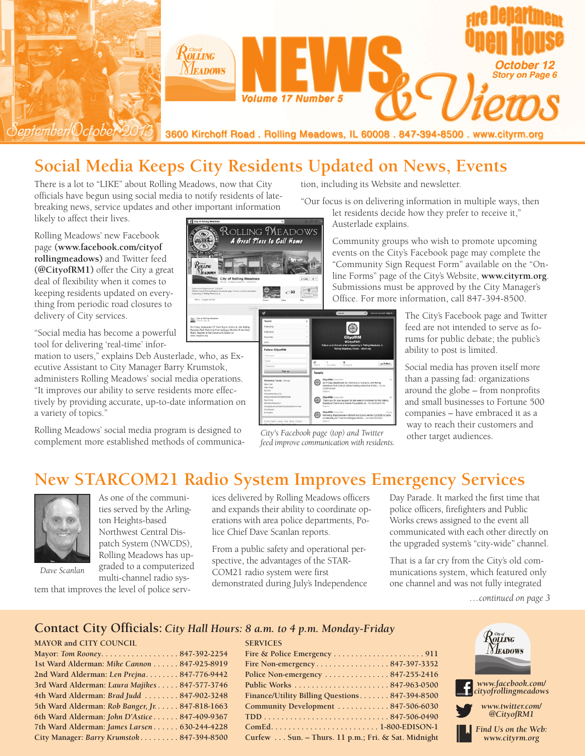

# **Social Media Keeps City Residents Updated on News, Events**

There is a lot to "LIKE" about Rolling Meadows, now that City officials have begun using social media to notify residents of latebreaking news, service updates and other important information likely to affect their lives.

Rolling Meadows' new Facebook page **(www.facebook.com/cityof rollingmeadows)** and Twitter feed **(@CityofRM1)** offer the City a great deal of flexibility when it comes to keeping residents updated on everything from periodic road closures to delivery of City services.

"Social media has become a powerful tool for delivering 'real-time' infor-

mation to users," explains Deb Austerlade, who, as Executive Assistant to City Manager Barry Krumstok, administers Rolling Meadows' social media operations. "It improves our ability to serve residents more effectively by providing accurate, up-to-date information on a variety of topics."

Rolling Meadows' social media program is designed to complement more established methods of communica"Our focus is on delivering information in multiple ways, then

tion, including its Website and newsletter.

let residents decide how they prefer to receive it," Austerlade explains.

Community groups who wish to promote upcoming events on the City's Facebook page may complete the "Community Sign Request Form" available on the "Online Forms" page of the City's Website, **www.cityrm.org**. Submissions must be approved by the City Manager's Office. For more information, call 847-394-8500.

> The City's Facebook page and Twitter feed are not intended to serve as forums for public debate; the public's ability to post is limited.

Social media has proven itself more than a passing fad: organizations around the globe – from nonprofits and small businesses to Fortune 500 companies – have embraced it as a way to reach their customers and other target audiences.

**New STARCOM21 Radio System Improves Emergency Services**



As one of the communities served by the Arlington Heights-based Northwest Central Dispatch System (NWCDS), Rolling Meadows has upgraded to a computerized

*Dave Scanlan*

multi-channel radio system that improves the level of police services delivered by Rolling Meadows officers and expands their ability to coordinate operations with area police departments, Police Chief Dave Scanlan reports.

From a public safety and operational perspective, the advantages of the STAR-COM21 radio system were first demonstrated during July's Independence

**SERVICES**

Day Parade. It marked the first time that police officers, firefighters and Public Works crews assigned to the event all communicated with each other directly on the upgraded system's "city-wide" channel.

That is a far cry from the City's old communications system, which featured only one channel and was not fully integrated

*…continued on page 3*

#### **Contact City Officials:** *City Hall Hours: 8 a.m. to 4 p.m. Monday-Friday*

#### **MAYOR and CITY COUNCIL**

| Mayor: Tom Rooney847-392-2254                   |  |
|-------------------------------------------------|--|
| 1st Ward Alderman: Mike Cannon 847-925-8919     |  |
| 2nd Ward Alderman: Len Prejna 847-776-9442      |  |
| 3rd Ward Alderman: Laura Majikes 847-577-3746   |  |
| 4th Ward Alderman: Brad Judd  847-902-3248      |  |
| 5th Ward Alderman: Rob Banger, Jr. 847-818-1663 |  |
| 6th Ward Alderman: John D'Astice 847-409-9367   |  |
| 7th Ward Alderman: James Larsen 630-244-4228    |  |
| City Manager: Barry Krumstok 847-394-8500       |  |
|                                                 |  |

| Police Non-emergency $\dots\dots\dots\dots 847-255-2416$ |  |
|----------------------------------------------------------|--|
|                                                          |  |
| Finance/Utility Billing Questions 847-394-8500           |  |
| Community Development  847-506-6030                      |  |
|                                                          |  |
|                                                          |  |
| Curfew Sun. - Thurs. 11 p.m.; Fri. & Sat. Midnight       |  |





*City's Facebook page (top) and Twitter*

*feed improve communication with residents.*

 $\odot$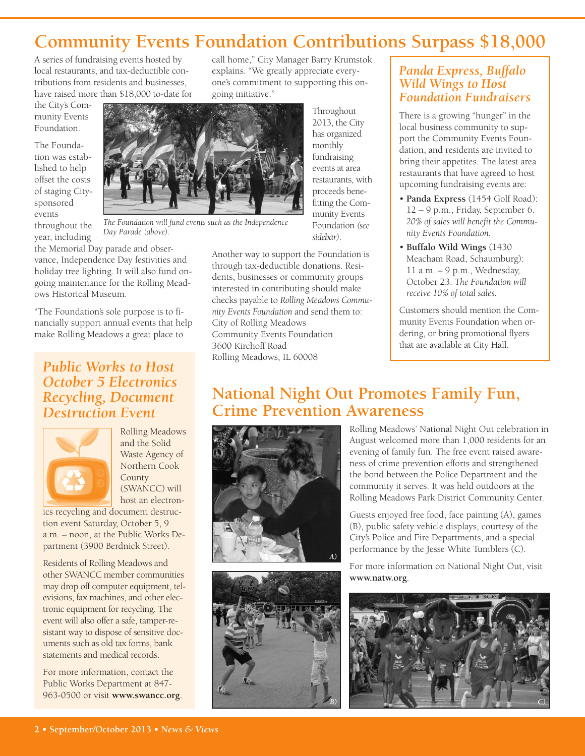# **Community Events Foundation Contributions Surpass \$18,000**

A series of fundraising events hosted by local restaurants, and tax-deductible contributions from residents and businesses, have raised more than \$18,000 to-date for

the City's Community Events Foundation.

The Foundation was established to help offset the costs of staging Citysponsored events throughout the

year, including

the Memorial Day parade and observance, Independence Day festivities and holiday tree lighting. It will also fund on-*Day Parade (above).*

going maintenance for the Rolling Meadows Historical Museum. "The Foundation's sole purpose is to fi-

nancially support annual events that help make Rolling Meadows a great place to

### *Public Works to Host October 5 Electronics Recycling, Document Destruction Event*



Rolling Meadows and the Solid Waste Agency of Northern Cook County (SWANCC) will host an electron-

ics recycling and document destruction event Saturday, October 5, 9 a.m. – noon, at the Public Works Department (3900 Berdnick Street).

Residents of Rolling Meadows and other SWANCC member communities may drop off computer equipment, televisions, fax machines, and other electronic equipment for recycling. The event will also offer a safe, tamper-resistant way to dispose of sensitive documents such as old tax forms, bank statements and medical records.

For more information, contact the Public Works Department at 847- 963-0500 or visit **www.swancc.org**. call home," City Manager Barry Krumstok explains. "We greatly appreciate everyone's commitment to supporting this ongoing initiative."

> **Throughout** 2013, the City has organized monthly fundraising events at area restaurants, with proceeds benefitting the Community Events Foundation *(see sidebar)*.



*The Foundation will fund events such as the Independence*

Another way to support the Foundation is through tax-deductible donations. Residents, businesses or community groups interested in contributing should make checks payable to *Rolling Meadows Community Events Foundation* and send them to: City of Rolling Meadows Community Events Foundation 3600 Kirchoff Road Rolling Meadows, IL 60008

### *Panda Express, Buffalo Wild Wings to Host Foundation Fundraisers*

There is a growing "hunger" in the local business community to support the Community Events Foundation, and residents are invited to bring their appetites. The latest area restaurants that have agreed to host upcoming fundraising events are:

- **Panda Express** (1454 Golf Road): 12 – 9 p.m., Friday, September 6. *20% of sales will benefit the Community Events Foundation.*
- **Buffalo Wild Wings** (1430 Meacham Road, Schaumburg): 11 a.m. – 9 p.m., Wednesday, October 23. *The Foundation will receive 10% of total sales.*

Customers should mention the Community Events Foundation when ordering, or bring promotional flyers that are available at City Hall.

## **National Night Out Promotes Family Fun, Crime Prevention Awareness**





Rolling Meadows' National Night Out celebration in August welcomed more than 1,000 residents for an evening of family fun. The free event raised awareness of crime prevention efforts and strengthened the bond between the Police Department and the community it serves. It was held outdoors at the Rolling Meadows Park District Community Center.

Guests enjoyed free food, face painting (A), games (B), public safety vehicle displays, courtesy of the City's Police and Fire Departments, and a special performance by the Jesse White Tumblers (C).

For more information on National Night Out, visit **www.natw.org**.

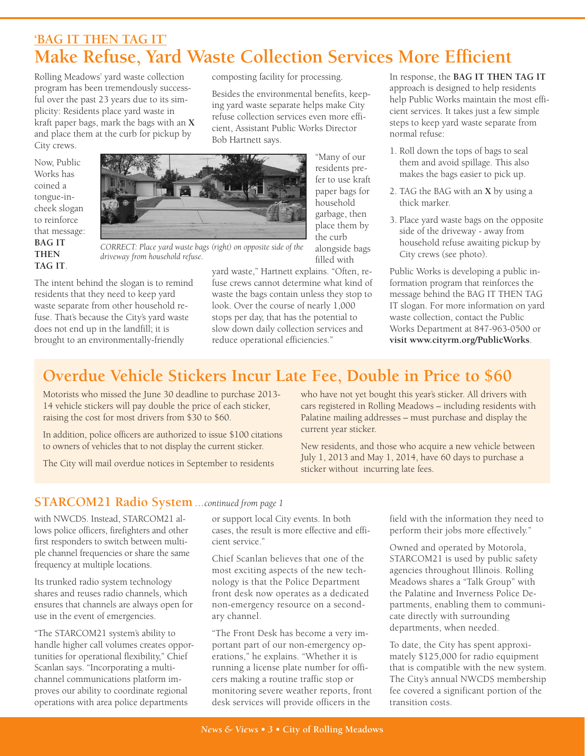## **'BAG IT THEN TAG IT' Make Refuse, Yard Waste Collection Services More Efficient**

Rolling Meadows' yard waste collection program has been tremendously successful over the past 23 years due to its simplicity: Residents place yard waste in kraft paper bags, mark the bags with an **X** and place them at the curb for pickup by City crews.

composting facility for processing.

Besides the environmental benefits, keeping yard waste separate helps make City refuse collection services even more efficient, Assistant Public Works Director Bob Hartnett says.





"Many of our residents prefer to use kraft paper bags for household garbage, then place them by the curb alongside bags filled with

*CORRECT: Place yard waste bags (right) on opposite side of the driveway from household refuse.*

The intent behind the slogan is to remind residents that they need to keep yard waste separate from other household refuse. That's because the City's yard waste does not end up in the landfill; it is brought to an environmentally-friendly

yard waste," Hartnett explains. "Often, refuse crews cannot determine what kind of waste the bags contain unless they stop to look. Over the course of nearly 1,000 stops per day, that has the potential to slow down daily collection services and reduce operational efficiencies."

In response, the **BAG IT THEN TAG IT** approach is designed to help residents help Public Works maintain the most efficient services. It takes just a few simple steps to keep yard waste separate from normal refuse:

- 1. Roll down the tops of bags to seal them and avoid spillage. This also makes the bags easier to pick up.
- 2. TAG the BAG with an **X** by using a thick marker.
- 3. Place yard waste bags on the opposite side of the driveway - away from household refuse awaiting pickup by City crews (see photo).

Public Works is developing a public information program that reinforces the message behind the BAG IT THEN TAG IT slogan. For more information on yard waste collection, contact the Public Works Department at 847-963-0500 or **visit www.cityrm.org/PublicWorks**.

# **Overdue Vehicle Stickers Incur Late Fee, Double in Price to \$60**

Motorists who missed the June 30 deadline to purchase 2013- 14 vehicle stickers will pay double the price of each sticker, raising the cost for most drivers from \$30 to \$60.

In addition, police officers are authorized to issue \$100 citations to owners of vehicles that to not display the current sticker.

The City will mail overdue notices in September to residents

who have not yet bought this year's sticker. All drivers with cars registered in Rolling Meadows – including residents with Palatine mailing addresses – must purchase and display the current year sticker.

New residents, and those who acquire a new vehicle between July 1, 2013 and May 1, 2014, have 60 days to purchase a sticker without incurring late fees.

### **STARCOM21 Radio System** *…continued from page 1*

with NWCDS. Instead, STARCOM21 allows police officers, firefighters and other first responders to switch between multiple channel frequencies or share the same frequency at multiple locations.

Its trunked radio system technology shares and reuses radio channels, which ensures that channels are always open for use in the event of emergencies.

"The STARCOM21 system's ability to handle higher call volumes creates opportunities for operational flexibility," Chief Scanlan says. "Incorporating a multichannel communications platform improves our ability to coordinate regional operations with area police departments

or support local City events. In both cases, the result is more effective and efficient service."

Chief Scanlan believes that one of the most exciting aspects of the new technology is that the Police Department front desk now operates as a dedicated non-emergency resource on a secondary channel.

"The Front Desk has become a very important part of our non-emergency operations," he explains. "Whether it is running a license plate number for officers making a routine traffic stop or monitoring severe weather reports, front desk services will provide officers in the

field with the information they need to perform their jobs more effectively."

Owned and operated by Motorola, STARCOM21 is used by public safety agencies throughout Illinois. Rolling Meadows shares a "Talk Group" with the Palatine and Inverness Police Departments, enabling them to communicate directly with surrounding departments, when needed.

To date, the City has spent approximately \$125,000 for radio equipment that is compatible with the new system. The City's annual NWCDS membership fee covered a significant portion of the transition costs.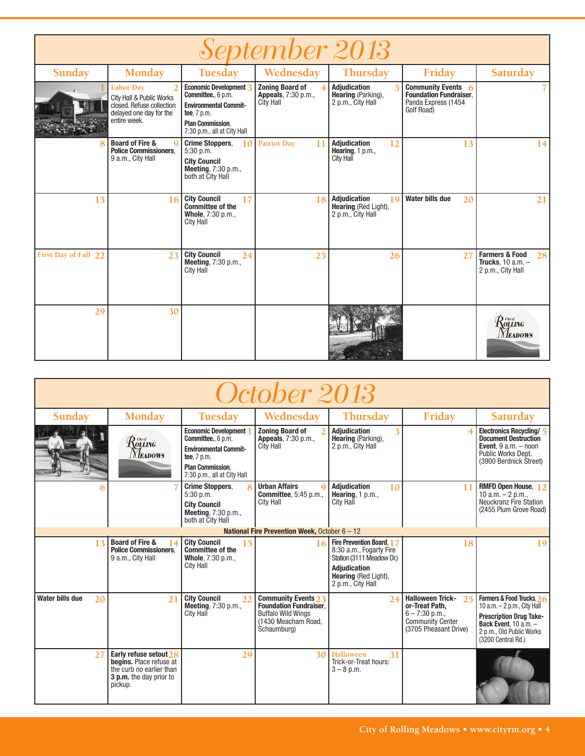| <i>September 2013</i> |                                                                                                               |                                                                                                                                                       |                                                            |                                                                        |                                                                                          |                                                                           |  |
|-----------------------|---------------------------------------------------------------------------------------------------------------|-------------------------------------------------------------------------------------------------------------------------------------------------------|------------------------------------------------------------|------------------------------------------------------------------------|------------------------------------------------------------------------------------------|---------------------------------------------------------------------------|--|
| Sunday                | Monday                                                                                                        | Tuesday                                                                                                                                               | Wednesday                                                  | Thursday                                                               | Friday                                                                                   | Saturday                                                                  |  |
|                       | Labor Day<br>City Hall & Public Works<br>closed. Refuse collection<br>delayed one day for the<br>entire week. | Economic Development 3<br>Committee., 6 p.m.<br><b>Environmental Commit-</b><br>tee, 7 p.m.<br><b>Plan Commission.</b><br>7:30 p.m., all at City Hall | <b>Zoning Board of</b><br>Appeals, 7:30 p.m.,<br>City Hall | <b>Adjudication</b><br>Hearing (Parking),<br>2 p.m., City Hall         | Community Events 6<br><b>Foundation Fundraiser.</b><br>Panda Express (1454<br>Golf Road) |                                                                           |  |
|                       | <b>Board of Fire &amp;</b><br>$\Omega$<br><b>Police Commissioners.</b><br>9 a.m., City Hall                   | <b>Crime Stoppers,</b><br>10 <sup>1</sup><br>$5:30$ p.m.<br><b>City Council</b><br>Meeting, 7:30 p.m.,<br>both at City Hall                           | <b>Patriot Day</b><br>11                                   | <b>Adjudication</b><br>12<br>Hearing, 1 p.m.,<br><b>City Hall</b>      | 13                                                                                       | 14                                                                        |  |
| 15                    | 16                                                                                                            | <b>City Council</b><br>17<br><b>Committee of the</b><br>Whole, 7:30 p.m.,<br>City Hall                                                                | 18                                                         | <b>Adjudication</b><br>19<br>Hearing (Red Light),<br>2 p.m., City Hall | Water bills due<br>20                                                                    | 21                                                                        |  |
| First Day of Fall 22  | 23                                                                                                            | <b>City Council</b><br>24<br><b>Meeting, 7:30 p.m.,</b><br>City Hall                                                                                  | 25                                                         | 26                                                                     | 27                                                                                       | <b>Farmers &amp; Food</b><br>28<br>Trucks, 10 a.m. -<br>2 p.m., City Hall |  |
| 29                    | 30                                                                                                            |                                                                                                                                                       |                                                            |                                                                        |                                                                                          | $\mathcal{R}$ olling<br><b>NEADOWS</b>                                    |  |

| October 2013          |                                                                                                                       |                                                                                                                                                            |                                                                                                                                |                                                                                                                                                              |                                                                                                                         |                                                                                                                                                                           |
|-----------------------|-----------------------------------------------------------------------------------------------------------------------|------------------------------------------------------------------------------------------------------------------------------------------------------------|--------------------------------------------------------------------------------------------------------------------------------|--------------------------------------------------------------------------------------------------------------------------------------------------------------|-------------------------------------------------------------------------------------------------------------------------|---------------------------------------------------------------------------------------------------------------------------------------------------------------------------|
| Sunday                | Monday                                                                                                                | Tuesday                                                                                                                                                    | Wednesday                                                                                                                      | Thursday                                                                                                                                                     | Friday                                                                                                                  | Saturday                                                                                                                                                                  |
|                       | $\mathcal{R}$ olling<br><b>NEADOWS</b>                                                                                | <b>Economic Development</b><br>Committee., 6 p.m.<br><b>Environmental Commit-</b><br>tee, 7 p.m.<br><b>Plan Commission.</b><br>7:30 p.m., all at City Hall | <b>Zoning Board of</b><br><b>Appeals</b> , 7:30 p.m.,<br><b>City Hall</b>                                                      | <b>Adiudication</b><br>3<br><b>Hearing</b> (Parking),<br>2 p.m., City Hall                                                                                   |                                                                                                                         | Electronics Recycling/ 5<br><b>Document Destruction</b><br>Event, $9 a.m. - noon$<br>Public Works Dept.<br>(3900 Berdnick Street)                                         |
|                       |                                                                                                                       | <b>Crime Stoppers,</b><br>$5:30$ p.m.<br><b>City Council</b><br><b>Meeting, 7:30 p.m.,</b><br>both at City Hall                                            | <b>Urban Affairs</b><br><b>Committee.</b> 5:45 p.m<br><b>City Hall</b>                                                         | <b>Adjudication</b><br>10<br>Hearing, $1 p.m.,$<br><b>City Hall</b>                                                                                          | 11                                                                                                                      | RMFD Open House, 12<br>10 a.m. $-$ 2 p.m.,<br><b>Neuckranz Fire Station</b><br>(2455 Plum Grove Road)                                                                     |
|                       |                                                                                                                       |                                                                                                                                                            | National Fire Prevention Week, October $6 - 12$                                                                                |                                                                                                                                                              |                                                                                                                         |                                                                                                                                                                           |
| 1 <sup>2</sup>        | <b>Board of Fire &amp;</b><br>14<br><b>Police Commissioners.</b><br>9 a.m., City Hall                                 | <b>City Council</b><br>15<br><b>Committee of the</b><br>Whole, 7:30 p.m.,<br><b>City Hall</b>                                                              |                                                                                                                                | Fire Prevention Board, 17<br>8:30 a.m., Fogarty Fire<br>Station (3111 Meadow Dr.)<br><b>Adjudication</b><br><b>Hearing</b> (Red Light),<br>2 p.m., City Hall | 18                                                                                                                      | 19                                                                                                                                                                        |
| Water bills due<br>20 | 21                                                                                                                    | <b>City Council</b><br>$\mathfrak{D}$<br><b>Meeting, 7:30 p.m.,</b><br><b>City Hall</b>                                                                    | <b>Community Events 23</b><br><b>Foundation Fundraiser,</b><br><b>Buffalo Wild Wings</b><br>(1430 Meacham Road,<br>Schaumburg) | 24                                                                                                                                                           | <b>Halloween Trick-</b><br>25<br>or-Treat Path,<br>$6 - 7:30$ p.m.,<br><b>Community Center</b><br>(3705 Pheasant Drive) | Farmers & Food Trucks, 26<br>10 a.m. $-$ 2 p.m., City Hall<br><b>Prescription Drug Take-</b><br>Back Event, $10 a.m. -$<br>2 p.m., Old Public Works<br>(3200 Central Rd.) |
| 27                    | Early refuse setout $28$<br>begins. Place refuse at<br>the curb no earlier than<br>3 p.m. the day prior to<br>pickup. | 29                                                                                                                                                         | 30                                                                                                                             | Halloween<br>31<br>Trick-or-Treat hours:<br>$3 - 8$ p.m.                                                                                                     |                                                                                                                         |                                                                                                                                                                           |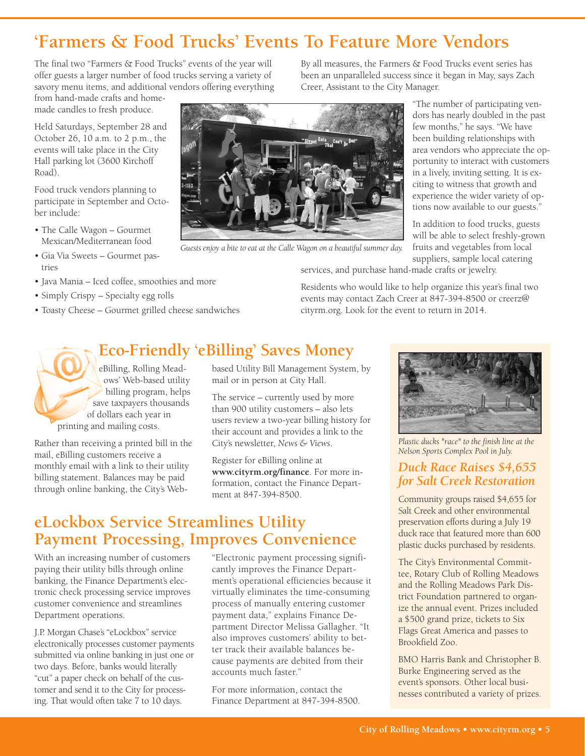# **'Farmers & Food Trucks' Events To Feature More Vendors**

The final two "Farmers & Food Trucks" events of the year will offer guests a larger number of food trucks serving a variety of savory menu items, and additional vendors offering everything

from hand-made crafts and homemade candles to fresh produce.

Held Saturdays, September 28 and October 26, 10 a.m. to 2 p.m., the events will take place in the City Hall parking lot (3600 Kirchoff Road).

Food truck vendors planning to participate in September and October include:

- The Calle Wagon Gourmet Mexican/Mediterranean food
- Gia Via Sweets Gourmet pastries
- Java Mania Iced coffee, smoothies and more
- Simply Crispy Specialty egg rolls
- Toasty Cheese Gourmet grilled cheese sandwiches

By all measures, the Farmers & Food Trucks event series has been an unparalleled success since it began in May, says Zach Creer, Assistant to the City Manager.



*Guests enjoy a bite to eat at the Calle Wagon on a beautiful summer day.*

"The number of participating vendors has nearly doubled in the past few months," he says. "We have been building relationships with area vendors who appreciate the opportunity to interact with customers in a lively, inviting setting. It is exciting to witness that growth and experience the wider variety of options now available to our guests."

In addition to food trucks, guests will be able to select freshly-grown fruits and vegetables from local suppliers, sample local catering

services, and purchase hand-made crafts or jewelry.

Residents who would like to help organize this year's final two events may contact Zach Creer at 847-394-8500 or creerz@ cityrm.org. Look for the event to return in 2014.

# **Eco-Friendly 'eBilling' Saves Money**

eBilling, Rolling Meadows' Web-based utility billing program, helps save taxpayers thousands of dollars each year in printing and mailing costs.

Rather than receiving a printed bill in the mail, eBilling customers receive a monthly email with a link to their utility billing statement. Balances may be paid through online banking, the City's Webbased Utility Bill Management System, by mail or in person at City Hall.

The service – currently used by more than 900 utility customers – also lets users review a two-year billing history for their account and provides a link to the City's newsletter, *News & Views*.

Register for eBilling online at **www.cityrm.org/finance**. For more information, contact the Finance Department at 847-394-8500.

## **eLockbox Service Streamlines Utility Payment Processing, Improves Convenience**

With an increasing number of customers paying their utility bills through online banking, the Finance Department's electronic check processing service improves customer convenience and streamlines Department operations.

J.P. Morgan Chase's "eLockbox" service electronically processes customer payments submitted via online banking in just one or two days. Before, banks would literally "cut" a paper check on behalf of the customer and send it to the City for processing. That would often take 7 to 10 days.

"Electronic payment processing significantly improves the Finance Department's operational efficiencies because it virtually eliminates the time-consuming process of manually entering customer payment data," explains Finance Department Director Melissa Gallagher. "It also improves customers' ability to better track their available balances because payments are debited from their accounts much faster."

For more information, contact the Finance Department at 847-394-8500.



*Plastic ducks "race" to the finish line at the Nelson Sports Complex Pool in July.*

### *Duck Race Raises \$4,655 for Salt Creek Restoration*

Community groups raised \$4,655 for Salt Creek and other environmental preservation efforts during a July 19 duck race that featured more than 600 plastic ducks purchased by residents.

The City's Environmental Committee, Rotary Club of Rolling Meadows and the Rolling Meadows Park District Foundation partnered to organize the annual event. Prizes included a \$500 grand prize, tickets to Six Flags Great America and passes to Brookfield Zoo.

BMO Harris Bank and Christopher B. Burke Engineering served as the event's sponsors. Other local businesses contributed a variety of prizes.